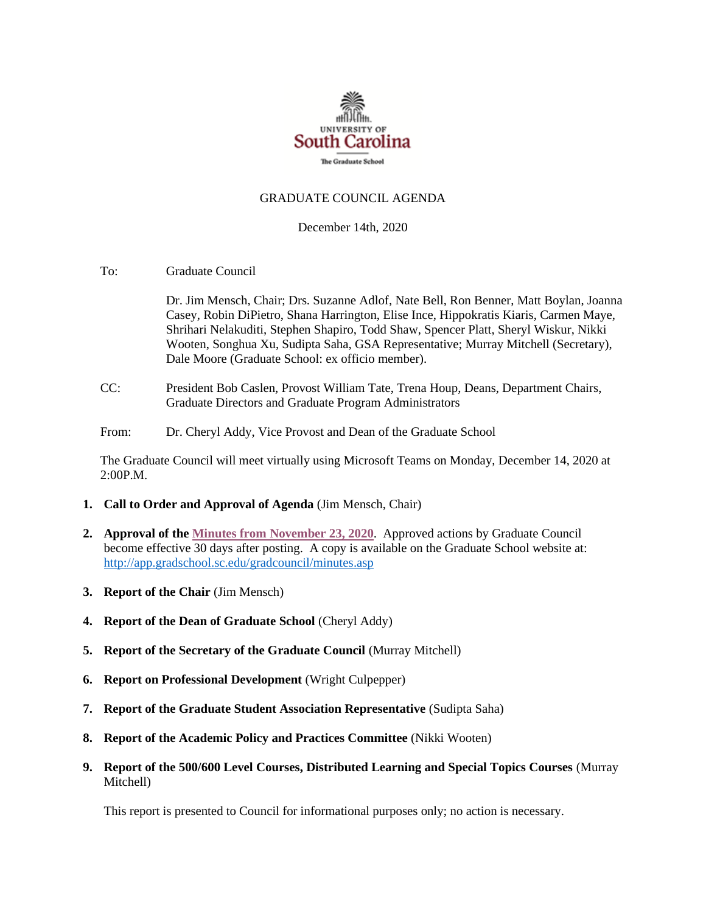

#### GRADUATE COUNCIL AGENDA

#### December 14th, 2020

To: Graduate Council

Dr. Jim Mensch, Chair; Drs. Suzanne Adlof, Nate Bell, Ron Benner, Matt Boylan, Joanna Casey, Robin DiPietro, Shana Harrington, Elise Ince, Hippokratis Kiaris, Carmen Maye, Shrihari Nelakuditi, Stephen Shapiro, Todd Shaw, Spencer Platt, Sheryl Wiskur, Nikki Wooten, Songhua Xu, Sudipta Saha, GSA Representative; Murray Mitchell (Secretary), Dale Moore (Graduate School: ex officio member).

- CC: President Bob Caslen, Provost William Tate, Trena Houp, Deans, Department Chairs, Graduate Directors and Graduate Program Administrators
- From: Dr. Cheryl Addy, Vice Provost and Dean of the Graduate School

The Graduate Council will meet virtually using Microsoft Teams on Monday, December 14, 2020 at 2:00P.M.

- **1. Call to Order and Approval of Agenda** (Jim Mensch, Chair)
- **2. Approval of th[e Minutes from November 23, 2020](Grad%20Council%20Minutes/GCMINUTES%2011.23.20%20MM.pdf)**. Approved actions by Graduate Council become effective 30 days after posting. A copy is available on the Graduate School website at: <http://app.gradschool.sc.edu/gradcouncil/minutes.asp>
- **3. Report of the Chair** (Jim Mensch)
- **4. Report of the Dean of Graduate School** (Cheryl Addy)
- **5. Report of the Secretary of the Graduate Council** (Murray Mitchell)
- **6. Report on Professional Development** (Wright Culpepper)
- **7. Report of the Graduate Student Association Representative** (Sudipta Saha)
- **8. Report of the Academic Policy and Practices Committee** (Nikki Wooten)
- **9. Report of the 500/600 Level Courses, Distributed Learning and Special Topics Courses** (Murray Mitchell)

This report is presented to Council for informational purposes only; no action is necessary.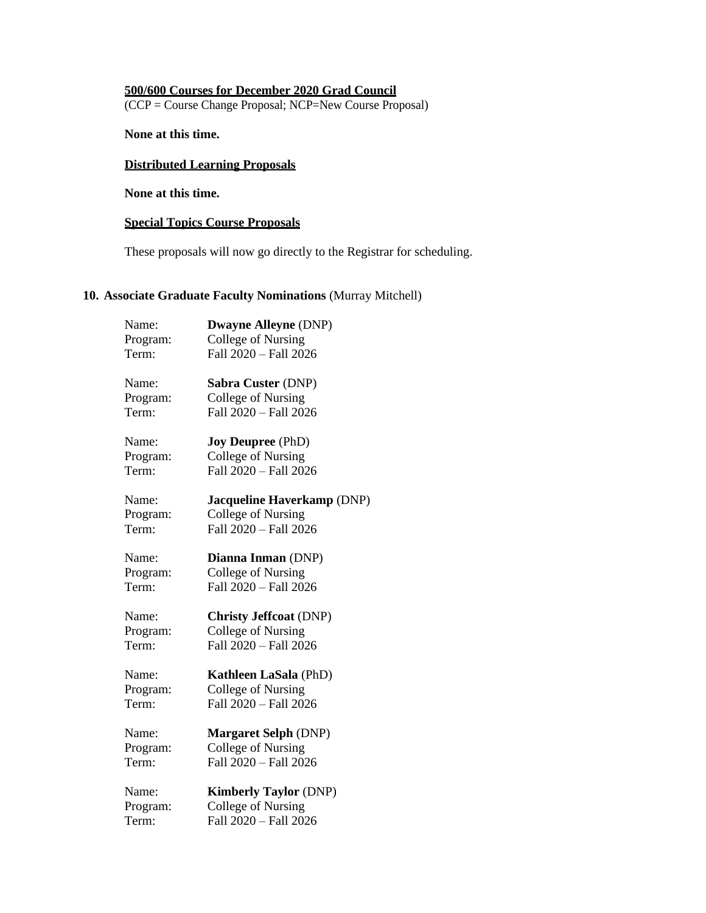# **500/600 Courses for December 2020 Grad Council**

(CCP = Course Change Proposal; NCP=New Course Proposal)

**None at this time.**

# **Distributed Learning Proposals**

**None at this time.**

# **Special Topics Course Proposals**

These proposals will now go directly to the Registrar for scheduling.

#### **10. Associate Graduate Faculty Nominations** (Murray Mitchell)

| Name:    | <b>Dwayne Alleyne (DNP)</b>   |
|----------|-------------------------------|
| Program: | College of Nursing            |
| Term:    | Fall 2020 - Fall 2026         |
|          |                               |
| Name:    | Sabra Custer (DNP)            |
| Program: | College of Nursing            |
| Term:    | Fall 2020 - Fall 2026         |
| Name:    | <b>Joy Deupree</b> (PhD)      |
| Program: | College of Nursing            |
| Term:    | Fall 2020 - Fall 2026         |
| Name:    | Jacqueline Haverkamp (DNP)    |
| Program: | College of Nursing            |
| Term:    | Fall 2020 - Fall 2026         |
| Name:    | Dianna Inman (DNP)            |
| Program: | <b>College of Nursing</b>     |
| Term:    | Fall 2020 - Fall 2026         |
| Name:    | <b>Christy Jeffcoat (DNP)</b> |
| Program: | College of Nursing            |
| Term:    | Fall 2020 - Fall 2026         |
| Name:    | <b>Kathleen LaSala (PhD)</b>  |
| Program: | <b>College of Nursing</b>     |
| Term:    | Fall 2020 - Fall 2026         |
|          |                               |
| Name:    | <b>Margaret Selph (DNP)</b>   |
| Program: | College of Nursing            |
| Term:    | Fall 2020 - Fall 2026         |
| Name:    | <b>Kimberly Taylor (DNP)</b>  |
| Program: | College of Nursing            |
| Term:    | Fall 2020 - Fall 2026         |
|          |                               |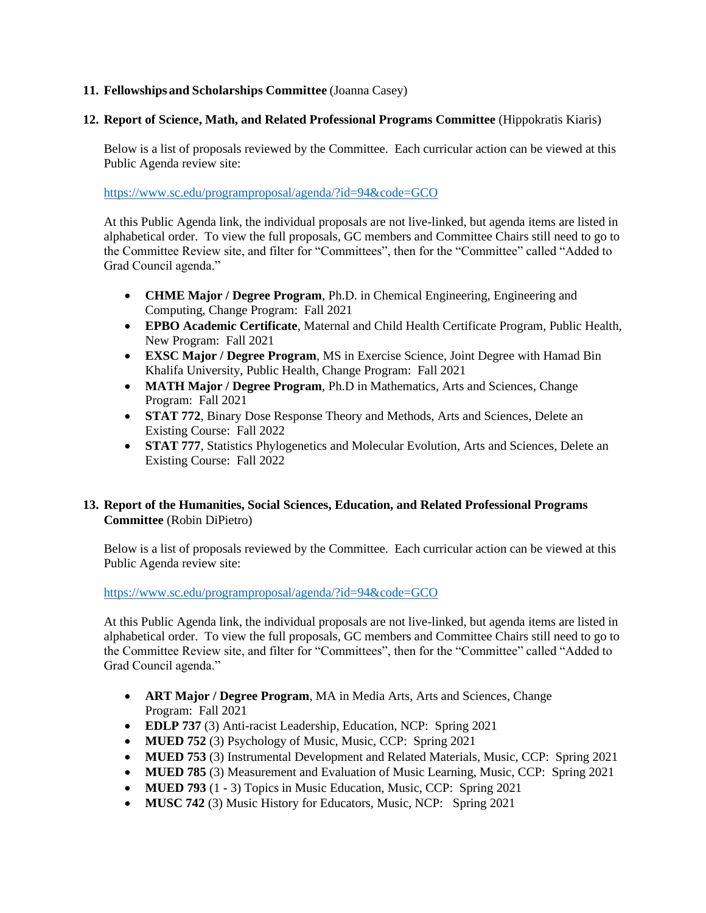# **11. Fellowships and Scholarships Committee** (Joanna Casey)

#### **12. Report of Science, Math, and Related Professional Programs Committee** (Hippokratis Kiaris)

Below is a list of proposals reviewed by the Committee. Each curricular action can be viewed at this Public Agenda review site:

<https://www.sc.edu/programproposal/agenda/?id=94&code=GCO>

At this Public Agenda link, the individual proposals are not live-linked, but agenda items are listed in alphabetical order. To view the full proposals, GC members and Committee Chairs still need to go to the Committee Review site, and filter for "Committees", then for the "Committee" called "Added to Grad Council agenda."

- **CHME Major / Degree Program**, Ph.D. in Chemical Engineering, Engineering and Computing, Change Program: Fall 2021
- **EPBO Academic Certificate**, Maternal and Child Health Certificate Program, Public Health, New Program: Fall 2021
- **EXSC Major / Degree Program**, MS in Exercise Science, Joint Degree with Hamad Bin Khalifa University, Public Health, Change Program: Fall 2021
- **MATH Major / Degree Program**, Ph.D in Mathematics, Arts and Sciences, Change Program: Fall 2021
- **STAT 772**, Binary Dose Response Theory and Methods, Arts and Sciences, Delete an Existing Course: Fall 2022
- **STAT 777**, Statistics Phylogenetics and Molecular Evolution, Arts and Sciences, Delete an Existing Course: Fall 2022

# **13. Report of the Humanities, Social Sciences, Education, and Related Professional Programs Committee** (Robin DiPietro)

Below is a list of proposals reviewed by the Committee. Each curricular action can be viewed at this Public Agenda review site:

<https://www.sc.edu/programproposal/agenda/?id=94&code=GCO>

At this Public Agenda link, the individual proposals are not live-linked, but agenda items are listed in alphabetical order. To view the full proposals, GC members and Committee Chairs still need to go to the Committee Review site, and filter for "Committees", then for the "Committee" called "Added to Grad Council agenda."

- **ART Major / Degree Program**, MA in Media Arts, Arts and Sciences, Change Program: Fall 2021
- **EDLP 737** (3) Anti-racist Leadership, Education, NCP: Spring 2021
- **MUED 752** (3) Psychology of Music, Music, CCP: Spring 2021
- **MUED 753** (3) Instrumental Development and Related Materials, Music, CCP: Spring 2021
- **MUED 785** (3) Measurement and Evaluation of Music Learning, Music, CCP: Spring 2021
- **MUED 793** (1 3) Topics in Music Education, Music, CCP: Spring 2021
- **MUSC 742** (3) Music History for Educators, Music, NCP: Spring 2021